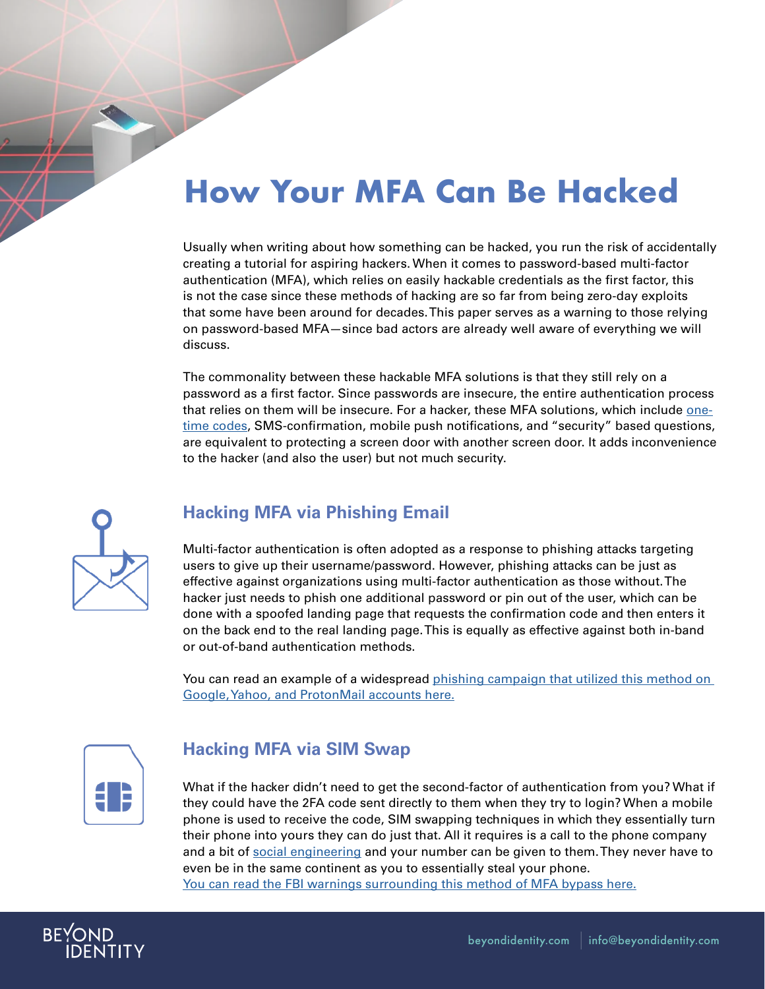# **How Your MFA Can Be Hacked**

Usually when writing about how something can be hacked, you run the risk of accidentally creating a tutorial for aspiring hackers. When it comes to password-based multi-factor authentication (MFA), which relies on easily hackable credentials as the first factor, this is not the case since these methods of hacking are so far from being zero-day exploits that some have been around for decades. This paper serves as a warning to those relying on password-based MFA—since bad actors are already well aware of everything we will discuss.

The commonality between these hackable MFA solutions is that they still rely on a password as a first factor. Since passwords are insecure, the entire authentication process that relies on them will be insecure. For a hacker, these MFA solutions, which include [one](https://www.beyondidentity.com/glossary/one-time-passwords)[time codes](https://www.beyondidentity.com/glossary/one-time-passwords), SMS-confirmation, mobile push notifications, and "security" based questions, are equivalent to protecting a screen door with another screen door. It adds inconvenience to the hacker (and also the user) but not much security.



### **Hacking MFA via Phishing Email**

Multi-factor authentication is often adopted as a response to phishing attacks targeting users to give up their username/password. However, phishing attacks can be just as effective against organizations using multi-factor authentication as those without. The hacker just needs to phish one additional password or pin out of the user, which can be done with a spoofed landing page that requests the confirmation code and then enters it on the back end to the real landing page. This is equally as effective against both in-band or out-of-band authentication methods.

You can read an example of a widespread phishing campaign that utilized this method on [Google, Yahoo, and ProtonMail accounts here.](https://www.zdnet.com/article/hacker-spoofing-bypasses-two-factor-authentication-security-in-gmail-secure-email-services/)



## **Hacking MFA via SIM Swap**

What if the hacker didn't need to get the second-factor of authentication from you? What if they could have the 2FA code sent directly to them when they try to login? When a mobile phone is used to receive the code, SIM swapping techniques in which they essentially turn their phone into yours they can do just that. All it requires is a call to the phone company and a bit of [social engineering](https://www.beyondidentity.com/glossary/social-engineering) and your number can be given to them. They never have to even be in the same continent as you to essentially steal your phone. [You can read the FBI warnings surrounding this method of MFA bypass here.](https://www.zdnet.com/article/fbi-warns-about-attacks-that-bypass-multi-factor-authentication-mfa/)